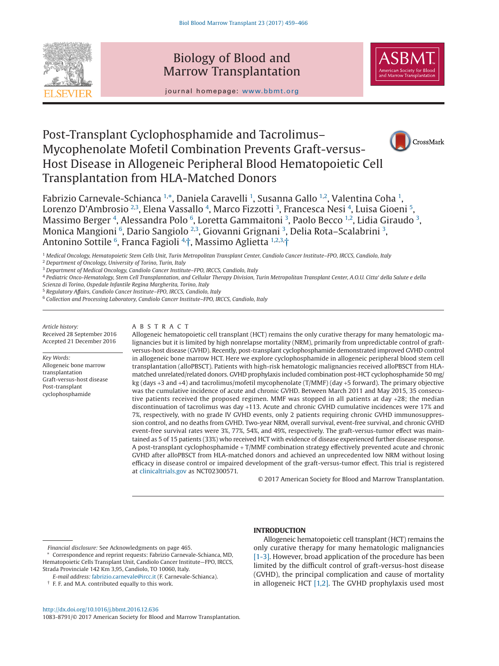

## Biology of Blood and Marrow Transplantation



journal homepage: www.bbmt.org

# Post-Transplant Cyclophosphamide and Tacrolimus– Mycophenolate Mofetil Combination Prevents Graft-versus-Host Disease in Allogeneic Peripheral Blood Hematopoietic Cell Transplantation from HLA-Matched Donors



Fabrizio Carnevale-Schianca <sup>[1,](#page-0-0)\*</sup>, Daniela Caravelli <sup>[1](#page-0-0)</sup>, Susanna Gallo <sup>1,[2](#page-0-2)</sup>, Valentina Coha <sup>1</sup>, Lorenzo D'Ambrosio [2,](#page-0-2)[3](#page-0-3), Elena Vassallo <sup>[4](#page-0-4)</sup>, Marco Fizzotti <sup>3</sup>, Francesca Nesi <sup>4</sup>, Luisa Gioeni <sup>[5](#page-0-5)</sup>, Massimo Berger <sup>[4](#page-0-4)</sup>, Alessandra Polo <sup>[6](#page-0-6)</sup>, Loretta Gammaitoni <sup>[3](#page-0-3)</sup>, Paolo Becco <sup>[1](#page-0-0)[,2](#page-0-2)</sup>, Lidia Giraudo <sup>3</sup>, Monica Mangioni  $^6$  $^6$ , Dario Sangiolo [2](#page-0-2)[,3](#page-0-3), Giovanni Grignani [3](#page-0-3), Delia Rota–Scalabrini 3, Antonino Sottile <sup>[6](#page-0-6)</sup>, Franca Fagioli <sup>[4,](#page-0-4)</sup>[†,](#page-0-7) Massimo Aglietta [1,](#page-0-0)[2,](#page-0-2)[3,](#page-0-3)[†](#page-0-7)

<span id="page-0-2"></span><sup>2</sup> *Department of Oncology, University of Torino, Turin, Italy*

<span id="page-0-3"></span><sup>3</sup> *Department of Medical Oncology, Candiolo Cancer Institute–FPO, IRCCS, Candiolo, Italy*

<span id="page-0-5"></span><sup>5</sup> *Regulatory Affairs, Candiolo Cancer Institute–FPO, IRCCS, Candiolo, Italy*

<span id="page-0-6"></span><sup>6</sup> *Collection and Processing Laboratory, Candiolo Cancer Institute–FPO, IRCCS, Candiolo, Italy*

*Article history:* Received 28 September 2016 Accepted 21 December 2016

*Key Words:* Allogeneic bone marrow transplantation Graft-versus-host disease Post-transplant cyclophosphamide

## ABSTRACT

Allogeneic hematopoietic cell transplant (HCT) remains the only curative therapy for many hematologic malignancies but it is limited by high nonrelapse mortality (NRM), primarily from unpredictable control of graftversus-host disease (GVHD). Recently, post-transplant cyclophosphamide demonstrated improved GVHD control in allogeneic bone marrow HCT. Here we explore cyclophosphamide in allogeneic peripheral blood stem cell transplantation (alloPBSCT). Patients with high-risk hematologic malignancies received alloPBSCT from HLAmatched unrelated/related donors. GVHD prophylaxis included combination post-HCT cyclophosphamide 50 mg/ kg (days +3 and +4) and tacrolimus/mofetil mycophenolate (T/MMF) (day +5 forward). The primary objective was the cumulative incidence of acute and chronic GVHD. Between March 2011 and May 2015, 35 consecutive patients received the proposed regimen. MMF was stopped in all patients at day +28; the median discontinuation of tacrolimus was day +113. Acute and chronic GVHD cumulative incidences were 17% and 7%, respectively, with no grade IV GVHD events, only 2 patients requiring chronic GVHD immunosuppression control, and no deaths from GVHD. Two-year NRM, overall survival, event-free survival, and chronic GVHD event-free survival rates were 3%, 77%, 54%, and 49%, respectively. The graft-versus-tumor effect was maintained as 5 of 15 patients (33%) who received HCT with evidence of disease experienced further disease response. A post-transplant cyclophosphamide + T/MMF combination strategy effectively prevented acute and chronic GVHD after alloPBSCT from HLA-matched donors and achieved an unprecedented low NRM without losing efficacy in disease control or impaired development of the graft-versus-tumor effect. This trial is registered at [clinicaltrials.gov](http://clinicaltrials.gov) as NCT02300571.

© 2017 American Society for Blood and Marrow Transplantation.

*Financial disclosure:* See Acknowledgments on page 465.

**INTRODUCTION**

Allogeneic hematopoietic cell transplant (HCT) remains the only curative therapy for many hematologic malignancies [\[1-3\].](#page-6-0) However, broad application of the procedure has been limited by the difficult control of graft-versus-host disease (GVHD), the principal complication and cause of mortality in allogeneic HCT [\[1,2\].](#page-6-0) The GVHD prophylaxis used most

<span id="page-0-0"></span><sup>1</sup> *Medical Oncology, Hematopoietic Stem Cells Unit, Turin Metropolitan Transplant Center, Candiolo Cancer Institute–FPO, IRCCS, Candiolo, Italy*

<span id="page-0-4"></span><sup>4</sup> *Pediatric Onco-Hematology, Stem Cell Transplantation, and Cellular Therapy Division, Turin Metropolitan Transplant Center, A.O.U. Citta' della Salute e della Scienza di Torino, Ospedale Infantile Regina Margherita, Torino, Italy*

<span id="page-0-1"></span>Correspondence and reprint requests: Fabrizio Carnevale-Schianca, MD, Hematopoietic Cells Transplant Unit, Candiolo Cancer Institute—FPO, IRCCS, Strada Provinciale 142 Km 3,95, Candiolo, TO 10060, Italy.

<span id="page-0-7"></span>*E-mail address:* [fabrizio.carnevale@ircc.it](mailto:fabrizio.carnevale@ircc.it) (F. Carnevale-Schianca).

<sup>†</sup> F. F. and M.A. contributed equally to this work.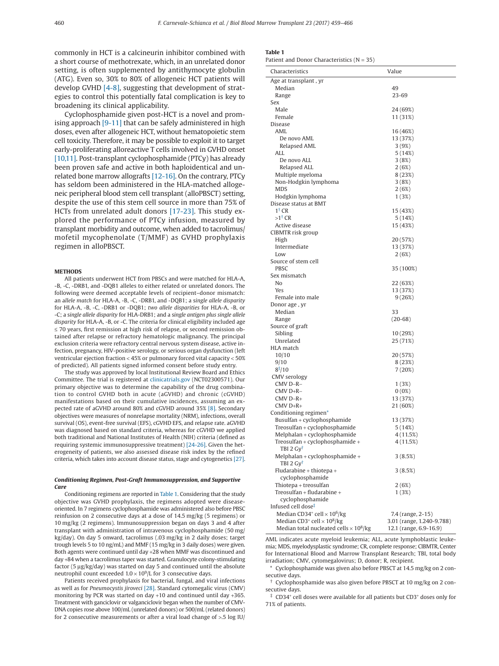<span id="page-1-3"></span>commonly in HCT is a calcineurin inhibitor combined with a short course of methotrexate, which, in an unrelated donor setting, is often supplemented by antithymocyte globulin (ATG). Even so, 30% to 80% of allogeneic HCT patients will develop GVHD [\[4-8\],](#page-6-1) suggesting that development of strategies to control this potentially fatal complication is key to broadening its clinical applicability.

Cyclophosphamide given post-HCT is a novel and promising approach [\[9-11\]](#page-6-2) that can be safely administered in high doses, even after allogeneic HCT, without hematopoietic stem cell toxicity. Therefore, it may be possible to exploit it to target early-proliferating alloreactive T cells involved in GVHD onset [\[10,11\].](#page-6-3) Post-transplant cyclophosphamide (PTCy) has already been proven safe and active in both haploidentical and unrelated bone marrow allografts [\[12-16\].](#page-6-4) On the contrary, PTCy has seldom been administered in the HLA-matched allogeneic peripheral blood stem cell transplant (alloPBSCT) setting, despite the use of this stem cell source in more than 75% of HCTs from unrelated adult donors [\[17-23\].](#page-6-5) This study explored the performance of PTCy infusion, measured by transplant morbidity and outcome, when added to tacrolimus/ mofetil mycophenolate (T/MMF) as GVHD prophylaxis regimen in alloPBSCT.

#### **METHODS**

All patients underwent HCT from PBSCs and were matched for HLA-A, -B, -C, -DRB1, and -DQB1 alleles to either related or unrelated donors. The following were deemed acceptable levels of recipient–donor mismatch: an a*llele match* for HLA-A, -B, -C, -DRB1, and -DQB1; a s*ingle allele disparity* for HLA-A, -B, -C, -DRB1 or -DQB1; *two allele disparities* for HLA-A, -B, or -C; a s*ingle allele disparity* for HLA-DRB1; and a s*ingle antigen plus single allele disparity* for HLA-A, -B, or -C. The criteria for clinical eligibility included age ≤ 70 years, first remission at high risk of relapse, or second remission obtained after relapse or refractory hematologic malignancy. The principal exclusion criteria were refractory central nervous system disease, active infection, pregnancy, HIV-positive serology, or serious organ dysfunction (left ventricular ejection fraction < 45% or pulmonary forced vital capacity < 50% of predicted). All patients signed informed consent before study entry.

The study was approved by local Institutional Review Board and Ethics Committee. The trial is registered at [clinicatrials.gov](http://clinicatrials.gov) (NCT02300571). Our primary objective was to determine the capability of the drug combination to control GVHD both in acute (aGVHD) and chronic (cGVHD) manifestations based on their cumulative incidences, assuming an expected rate of aGVHD around 80% and cGVHD around 35% [\[8\].](#page-6-6) Secondary objectives were measures of nonrelapse mortality (NRM), infections, overall survival (OS), event-free survival (EFS), cGVHD EFS, and relapse rate. aGVHD was diagnosed based on standard criteria, whereas for cGVHD we applied both traditional and National Institutes of Health (NIH) criteria (defined as requiring systemic immunosuppressive treatment) [\[24-26\].](#page-6-7) Given the heterogeneity of patients, we also assessed disease risk index by the refined criteria, which takes into account disease status, stage and cytogenetics [\[27\].](#page-6-8)

#### *Conditioning Regimen, Post-Graft Immunosuppression, and Supportive Care*

Conditioning regimens are reported in Table 1. Considering that the study objective was GVHD prophylaxis, the regimens adopted were diseaseoriented. In 7 regimens cyclophosphamide was administered also before PBSC reinfusion on 2 consecutive days at a dose of 14.5 mg/kg (5 regimens) or 10 mg/kg (2 regimens). Immunosuppression began on days 3 and 4 after transplant with administration of intravenous cyclophosphamide (50 mg/ kg/day). On day 5 onward, tacrolimus (.03 mg/kg in 2 daily doses; target trough levels 5 to 10 ng/mL) and MMF (15 mg/kg in 3 daily doses) were given. Both agents were continued until day +28 when MMF was discontinued and day +84 when a tacrolimus taper was started. Granulocyte colony-stimulating factor (5 μg/kg/day) was started on day 5 and continued until the absolute neutrophil count exceeded  $1.0 \times 10^9$ /L for 3 consecutive days.

Patients received prophylaxis for bacterial, fungal, and viral infections as well as for *Pneumocystis jiroveci* [\[28\].](#page-6-9) Standard cytomegalic virus (CMV) monitoring by PCR was started on day +10 and continued until day +365. Treatment with ganciclovir or valganciclovir began when the number of CMV-DNA copies rose above 100/mL (unrelated donors) or 500/mL (related donors) for 2 consecutive measurements or after a viral load change of >.5 log IU/

|--|--|--|--|

Patient and Donor Characteristics  $(N = 35)$ 

| Characteristics                                            | Value                     |
|------------------------------------------------------------|---------------------------|
| Age at transplant, yr                                      |                           |
| Median                                                     | 49                        |
| Range                                                      | 23-69                     |
| Sex                                                        |                           |
| Male                                                       | 24 (69%)                  |
| Female                                                     | 11 (31%)                  |
| Disease<br>AML                                             |                           |
| De novo AML                                                | 16 (46%)<br>13 (37%)      |
| Relapsed AML                                               | 3(9%)                     |
| ALL                                                        | 5(14%)                    |
| De novo ALL                                                | 3(8%)                     |
| Relapsed ALL                                               | 2(6%)                     |
| Multiple myeloma                                           | 8(23%)                    |
| Non-Hodgkin lymphoma                                       | 3(8%)                     |
| <b>MDS</b>                                                 | 2(6%)                     |
| Hodgkin lymphoma                                           | 1 (3%)                    |
| Disease status at BMT                                      |                           |
| $1^{\dagger}$ CR                                           | 15 (43%)                  |
| $>1^{\dagger}$ CR                                          | 5 (14%)                   |
| Active disease                                             | 15 (43%)                  |
| CIBMTR risk group                                          |                           |
| High<br>Intermediate                                       | 20 (57%)                  |
| Low                                                        | 13 (37%)<br>2(6%)         |
| Source of stem cell                                        |                           |
| <b>PBSC</b>                                                | 35 (100%)                 |
| Sex mismatch                                               |                           |
| No                                                         | 22 (63%)                  |
| Yes                                                        | 13 (37%)                  |
| Female into male                                           | 9(26%)                    |
| Donor age, yr                                              |                           |
| Median                                                     | 33                        |
| Range                                                      | $(20-68)$                 |
| Source of graft                                            |                           |
| Sibling                                                    | 10 (29%)                  |
| Unrelated                                                  | 25 (71%)                  |
| HLA match                                                  |                           |
| 10/10<br>9/10                                              | 20 (57%)                  |
| $8\frac{1}{2}$ /10                                         | 8 (23%)<br>7 (20%)        |
| <b>CMV</b> serology                                        |                           |
| CMV D-R-                                                   | 1 (3%)                    |
| CMV D+R-                                                   | 0(0%)                     |
| $CMV$ D-R+                                                 | 13 (37%)                  |
| $CMV D+R+$                                                 | 21 (60%)                  |
| Conditioning regimen*                                      |                           |
| Busulfan + cyclophosphamide                                | 13 (37%)                  |
| Treosulfan + cyclophosphamide                              | 5(14%)                    |
| Melphalan + cyclophosphamide                               | 4 (11.5%)                 |
| Treosulfan + cyclophosphamide +                            | 4 (11.5%)                 |
| $TBI$ 2 $Gy^{\dagger}$                                     |                           |
| Melphalan + cyclophosphamide +<br>TBI 2 Gy <sup>t</sup>    | 3(8.5%)                   |
| Fludarabine + thiotepa +                                   | 3(8.5%)                   |
| cyclophosphamide                                           |                           |
| Thiotepa + treosulfan                                      | 2 (6%)                    |
| Treosulfan + fludarabine +                                 | 1(3%)                     |
| cyclophosphamide                                           |                           |
| Infused cell dose <sup>‡</sup>                             |                           |
| Median CD34 <sup>+</sup> cell $\times$ 10 <sup>6</sup> /kg | 7.4 (range, 2-15)         |
| Median CD3+ cell $\times$ 10 <sup>8</sup> /kg              | 3.01 (range, 1.240-9.788) |
| Median total nucleated cells $\times$ 10 <sup>8</sup> /kg  | 12.1 (range, 6.9-16.9)    |

AML indicates acute myeloid leukemia; ALL, acute lymphoblastic leukemia; MDS, myelodysplastic syndrome; CR, complete response; CIBMTR, Center for International Blood and Marrow Transplant Research; TBI, total body irradiation; CMV, cytomegalovirus; D, donor; R, recipient.

<span id="page-1-2"></span>Cyclophosphamide was given also before PBSCT at 14.5 mg/kg on 2 consecutive days.

<span id="page-1-0"></span>† Cyclophosphamide was also given before PBSCT at 10 mg/kg on 2 consecutive days.

<span id="page-1-1"></span>‡ CD34<sup>+</sup> cell doses were available for all patients but CD3<sup>+</sup> doses only for 71% of patients.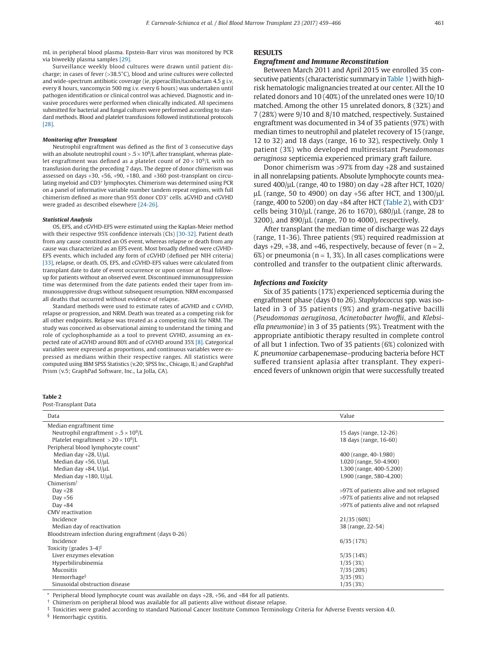<span id="page-2-4"></span>mL in peripheral blood plasma. Epstein-Barr virus was monitored by PCR via biweekly plasma samples [\[29\].](#page-6-10)

Surveillance weekly blood cultures were drawn until patient discharge; in cases of fever (>38.5°C), blood and urine cultures were collected and wide-spectrum antibiotic coverage (ie, piperacillin/tazobactam 4.5 g i.v. every 8 hours, vancomycin 500 mg i.v. every 6 hours) was undertaken until pathogen identification or clinical control was achieved. Diagnostic and invasive procedures were performed when clinically indicated. All specimens submitted for bacterial and fungal cultures were performed according to standard methods. Blood and platelet transfusions followed institutional protocols [\[28\].](#page-6-9)

#### *Monitoring after Transplant*

Neutrophil engraftment was defined as the first of 3 consecutive days with an absolute neutrophil count  $> 0.5 \times 10^9$  after transplant, whereas platelet engraftment was defined as a platelet count of  $20 \times 10^9$ /L with no transfusion during the preceding 7 days. The degree of donor chimerism was assessed on days  $+30$ ,  $+56$ ,  $+90$ ,  $+180$ , and  $+360$  post-transplant on circulating myeloid and CD3<sup>+</sup> lymphocytes. Chimerism was determined using PCR on a panel of informative variable number tandem repeat regions, with full chimerism defined as more than 95% donor CD3<sup>+</sup> cells. aGVHD and cGVHD were graded as described elsewhere [\[24-26\].](#page-6-7)

#### *Statistical Analysis*

OS, EFS, and cGVHD-EFS were estimated using the Kaplan-Meier method with their respective 95% confidence intervals (CIs) [\[30-32\].](#page-6-11) Patient death from any cause constituted an OS event, whereas relapse or death from any cause was characterized as an EFS event. Most broadly defined were cGVHD-EFS events, which included any form of cGVHD (defined per NIH criteria) [\[33\],](#page-7-0) relapse, or death. OS, EFS, and cGVHD-EFS values were calculated from transplant date to date of event occurrence or upon censor at final followup for patients without an observed event. Discontinued immunosuppression time was determined from the date patients ended their taper from immunosuppressive drugs without subsequent resumption. NRM encompassed all deaths that occurred without evidence of relapse.

Standard methods were used to estimate rates of aGVHD and c GVHD, relapse or progression, and NRM. Death was treated as a competing risk for all other endpoints. Relapse was treated as a competing risk for NRM. The study was conceived as observational aiming to understand the timing and role of cyclophosphamide as a tool to prevent GVHD, assuming an expected rate of aGVHD around 80% and of cGVHD around 35% [\[8\].](#page-6-6) Categorical variables were expressed as proportions, and continuous variables were expressed as medians within their respective ranges. All statistics were computed using IBM SPSS Statistics (v.20; SPSS Inc., Chicago, IL) and GraphPad Prism (v.5; GraphPad Software, Inc., La Jolla, CA).

#### **Table 2**

#### Post-Transplant Data Data Value Median engraftment time Neutrophil engraftment > .5 × 10<sup>9</sup>/L 15 days (range, 12-26) Platelet engraftment  $> 20 \times 10^9$ /L 18 days (range, 16-60) Peripheral blood lymphocyte coun[t\\*](#page-2-0) Median day +28, U/µL 400 (range, 40-1.980) Median day +56, U/μL 1.020 (range, 50-4.900) Median day +84, U/μL 1.300 (range, 400-5.200) 1.300 (range, 400-5.200) Median day +180, U/µL 1.900 (range, 580-4.200) Chimerism[†](#page-2-1) Day +28 >97% of patients alive and not relapsed Day +56 >97% of patients alive and not relapsed Day +84 >97% of patients alive and not relapsed CMV reactivation Incidence 21/35 (60%) Median day of reactivation 38 (range, 22-54) Bloodstream infection during engraftment (days 0-26)  $I_{\rm{incidence}}$  6/35 (17%) Toxicity (grades 3-4)[‡](#page-2-2) Liver enzymes elevation 5/35 (14%) Hyperbilirubinemia 1/35 (3%) Mucositis 7/35 (20%) Hemorrhage $\S$  and  $3/35$  (9%) and  $3/35$  (9%) and  $3/35$  (9%) and  $3/35$  (9%) and  $3/35$  (9%) and  $3/35$  (9%) and  $3/35$  (9%) and  $3/35$  (9%) and  $3/35$  (9%) and  $3/35$  (9%) and  $3/35$  (9%) and  $3/35$  (9%) and  $3/35$  (9%) Sinusoidal obstruction disease 1/35 (3%)

<span id="page-2-1"></span><span id="page-2-0"></span>Peripheral blood lymphocyte count was available on days +28, +56, and +84 for all patients.

<span id="page-2-2"></span>† Chimerism on peripheral blood was available for all patients alive without disease relapse.

<span id="page-2-3"></span>‡ Toxicities were graded according to standard National Cancer Institute Common Terminology Criteria for Adverse Events version 4.0.

§ Hemorrhagic cystitis.

#### **RESULTS**

#### *Engraftment and Immune Reconstitution*

Between March 2011 and April 2015 we enrolled 35 con-secutive patients (characteristic summary in [Table 1\)](#page-1-3) with highrisk hematologic malignancies treated at our center. All the 10 related donors and 10 (40%) of the unrelated ones were 10/10 matched. Among the other 15 unrelated donors, 8 (32%) and 7 (28%) were 9/10 and 8/10 matched, respectively. Sustained engraftment was documented in 34 of 35 patients (97%) with median times to neutrophil and platelet recovery of 15 (range, 12 to 32) and 18 days (range, 16 to 32), respectively. Only 1 patient (3%) who developed multiresistant *Pseudomonas aeruginosa* septicemia experienced primary graft failure.

Donor chimerism was >97% from day +28 and sustained in all nonrelapsing patients. Absolute lymphocyte counts measured 400/μL (range, 40 to 1980) on day +28 after HCT, 1020/ μL (range, 50 to 4900) on day +56 after HCT, and  $1300$ /μL (range, 400 to 5200) on day +84 after HCT (Table 2), with CD3<sup>+</sup> cells being 310/μL (range, 26 to 1670), 680/μL (range, 28 to 3200), and 890/μL (range, 70 to 4000), respectively.

After transplant the median time of discharge was 22 days (range, 11-36). Three patients (9%) required readmission at days  $+29, +38$ , and  $+46$ , respectively, because of fever (n = 2,  $6\%$ ) or pneumonia (n = 1, 3%). In all cases complications were controlled and transfer to the outpatient clinic afterwards.

## *Infections and Toxicity*

Six of 35 patients (17%) experienced septicemia during the engraftment phase (days 0 to 26). *Staphylococcus* spp. was isolated in 3 of 35 patients (9%) and gram-negative bacilli (*Pseudomonas aeruginosa*, *Acinetobacter lwoffii*, and *Klebsiella pneumoniae*) in 3 of 35 patients (9%). Treatment with the appropriate antibiotic therapy resulted in complete control of all but 1 infection. Two of 35 patients (6%) colonized with *K. pneumoniae* carbapenemase*–*producing bacteria before HCT suffered transient aplasia after transplant. They experienced fevers of unknown origin that were successfully treated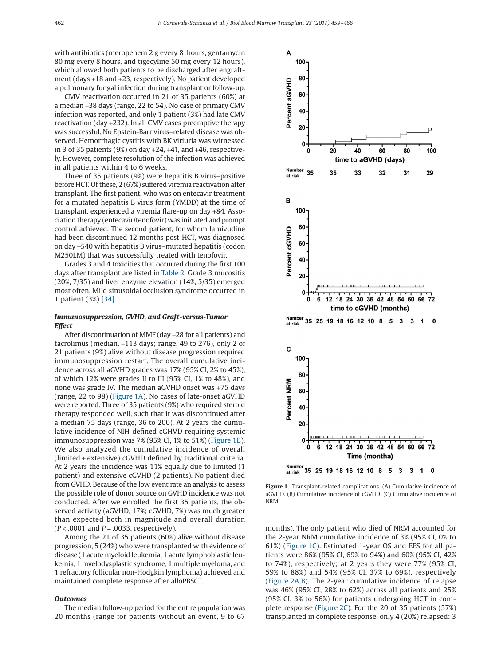with antibiotics (meropenem 2 g every 8 hours, gentamycin 80 mg every 8 hours, and tigecyline 50 mg every 12 hours), which allowed both patients to be discharged after engraftment (days +18 and +23, respectively). No patient developed a pulmonary fungal infection during transplant or follow-up.

CMV reactivation occurred in 21 of 35 patients (60%) at a median +38 days (range, 22 to 54). No case of primary CMV infection was reported, and only 1 patient (3%) had late CMV reactivation (day +232). In all CMV cases preemptive therapy was successful. No Epstein-Barr virus–related disease was observed. Hemorrhagic cystitis with BK viriuria was witnessed in 3 of 35 patients  $(9\%)$  on day  $+24$ ,  $+41$ , and  $+46$ , respectively. However, complete resolution of the infection was achieved in all patients within 4 to 6 weeks.

Three of 35 patients (9%) were hepatitis B virus–positive before HCT. Of these, 2 (67%) suffered viremia reactivation after transplant. The first patient, who was on entecavir treatment for a mutated hepatitis B virus form (YMDD) at the time of transplant, experienced a viremia flare-up on day +84. Association therapy (entecavir/tenofovir) was initiated and prompt control achieved. The second patient, for whom lamivudine had been discontinued 12 months post-HCT, was diagnosed on day +540 with hepatitis B virus–mutated hepatitis (codon M250LM) that was successfully treated with tenofovir.

Grades 3 and 4 toxicities that occurred during the first 100 days after transplant are listed in [Table 2.](#page-2-4) Grade 3 mucositis (20%, 7/35) and liver enzyme elevation (14%, 5/35) emerged most often. Mild sinusoidal occlusion syndrome occurred in 1 patient (3%) [\[34\].](#page-7-1)

## *Immunosuppression, GVHD, and Graft-versus-Tumor Effect*

After discontinuation of MMF (day +28 for all patients) and tacrolimus (median, +113 days; range, 49 to 276), only 2 of 21 patients (9%) alive without disease progression required immunosuppression restart. The overall cumulative incidence across all aGVHD grades was 17% (95% CI, 2% to 45%), of which 12% were grades II to III (95% CI, 1% to 48%), and none was grade IV. The median aGVHD onset was +75 days (range, 22 to 98) (Figure 1A). No cases of late-onset aGVHD were reported. Three of 35 patients (9%) who required steroid therapy responded well, such that it was discontinued after a median 75 days (range, 36 to 200). At 2 years the cumulative incidence of NIH-defined cGHVD requiring systemic immunosuppression was 7% (95% CI, 1% to 51%) (Figure 1B). We also analyzed the cumulative incidence of overall (limited + extensive) cGVHD defined by traditional criteria. At 2 years the incidence was 11% equally due to limited (1 patient) and extensive cGVHD (2 patients). No patient died from GVHD. Because of the low event rate an analysis to assess the possible role of donor source on GVHD incidence was not conducted. After we enrolled the first 35 patients, the observed activity (aGVHD, 17%; cGVHD, 7%) was much greater than expected both in magnitude and overall duration (*P* < .0001 and *P* = .0033, respectively).

Among the 21 of 35 patients (60%) alive without disease progression, 5 (24%) who were transplanted with evidence of disease (1 acute myeloid leukemia, 1 acute lymphoblastic leukemia, 1 myelodysplastic syndrome, 1 multiple myeloma, and 1 refractory follicular non-Hodgkin lymphoma) achieved and maintained complete response after alloPBSCT.

#### *Outcomes*

The median follow-up period for the entire population was 20 months (range for patients without an event, 9 to 67



**Figure 1.** Transplant-related complications. (A) Cumulative incidence of aGVHD. (B) Cumulative incidence of cGVHD. (C) Cumulative incidence of NRM.

months). The only patient who died of NRM accounted for the 2-year NRM cumulative incidence of 3% (95% CI, 0% to 61%) (Figure 1C). Estimated 1-year OS and EFS for all patients were 86% (95% CI, 69% to 94%) and 60% (95% CI, 42% to 74%), respectively; at 2 years they were 77% (95% CI, 59% to 88%) and 54% (95% CI, 37% to 69%), respectively [\(Figure 2A,B\)](#page-4-0). The 2-year cumulative incidence of relapse was 46% (95% CI, 28% to 62%) across all patients and 25% (95% CI, 3% to 56%) for patients undergoing HCT in complete response [\(Figure 2C\)](#page-4-0). For the 20 of 35 patients (57%) transplanted in complete response, only 4 (20%) relapsed: 3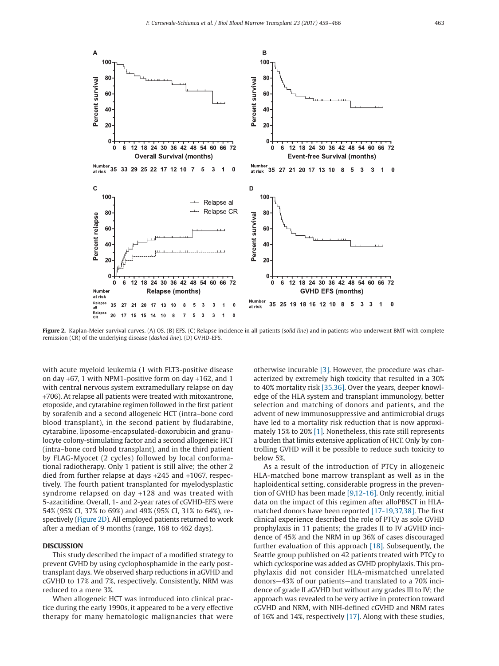<span id="page-4-0"></span>

**Figure 2.** Kaplan-Meier survival curves. (A) OS. (B) EFS. (C) Relapse incidence in all patients (*solid line*) and in patients who underwent BMT with complete remission (CR) of the underlying disease (*dashed line*). (D) GVHD-EFS.

with acute myeloid leukemia (1 with FLT3-positive disease on day +67, 1 with NPM1-positive form on day +162, and 1 with central nervous system extramedullary relapse on day +706). At relapse all patients were treated with mitoxantrone, etoposide, and cytarabine regimen followed in the first patient by sorafenib and a second allogeneic HCT (intra–bone cord blood transplant), in the second patient by fludarabine, cytarabine, liposome-encapsulated-doxorubicin and granulocyte colony-stimulating factor and a second allogeneic HCT (intra–bone cord blood transplant), and in the third patient by FLAG-Myocet (2 cycles) followed by local conformational radiotherapy. Only 1 patient is still alive; the other 2 died from further relapse at days +245 and +1067, respectively. The fourth patient transplanted for myelodysplastic syndrome relapsed on day +128 and was treated with 5-azacitidine. Overall, 1- and 2-year rates of cGVHD-EFS were 54% (95% CI, 37% to 69%) and 49% (95% CI, 31% to 64%), respectively (Figure 2D). All employed patients returned to work after a median of 9 months (range, 168 to 462 days).

## **DISCUSSION**

This study described the impact of a modified strategy to prevent GVHD by using cyclophosphamide in the early posttransplant days. We observed sharp reductions in aGVHD and cGVHD to 17% and 7%, respectively. Consistently, NRM was reduced to a mere 3%.

When allogeneic HCT was introduced into clinical practice during the early 1990s, it appeared to be a very effective therapy for many hematologic malignancies that were otherwise incurable  $[3]$ . However, the procedure was characterized by extremely high toxicity that resulted in a 30% to 40% mortality risk [\[35,36\].](#page-7-2) Over the years, deeper knowledge of the HLA system and transplant immunology, better selection and matching of donors and patients, and the advent of new immunosuppressive and antimicrobial drugs have led to a mortality risk reduction that is now approximately 15% to 20% [\[1\].](#page-6-0) Nonetheless, this rate still represents a burden that limits extensive application of HCT. Only by controlling GVHD will it be possible to reduce such toxicity to below 5%.

As a result of the introduction of PTCy in allogeneic HLA-matched bone marrow transplant as well as in the haploidentical setting, considerable progress in the prevention of GVHD has been made [\[9,12-16\].](#page-6-2) Only recently, initial data on the impact of this regimen after alloPBSCT in HLAmatched donors have been reported [\[17-19,37,38\].](#page-6-5) The first clinical experience described the role of PTCy as sole GVHD prophylaxis in 11 patients; the grades II to IV aGVHD incidence of 45% and the NRM in up 36% of cases discouraged further evaluation of this approach [\[18\].](#page-6-13) Subsequently, the Seattle group published on 42 patients treated with PTCy to which cyclosporine was added as GVHD prophylaxis. This prophylaxis did not consider HLA-mismatched unrelated donors—43% of our patients—and translated to a 70% incidence of grade II aGVHD but without any grades III to IV; the approach was revealed to be very active in protection toward cGVHD and NRM, with NIH-defined cGVHD and NRM rates of 16% and 14%, respectively [\[17\].](#page-6-5) Along with these studies,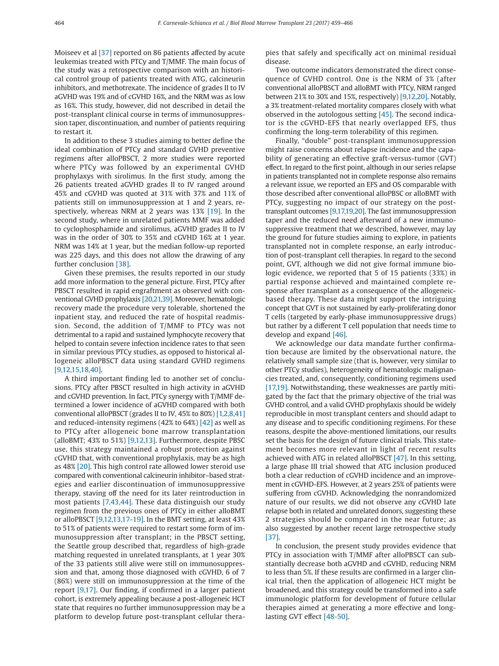Moiseev et al [\[37\]](#page-7-3) reported on 86 patients affected by acute leukemias treated with PTCy and T/MMF. The main focus of the study was a retrospective comparison with an historical control group of patients treated with ATG, calcineurin inhibitors, and methotrexate. The incidence of grades II to IV aGVHD was 19% and of cGVHD 16%, and the NRM was as low as 16%. This study, however, did not described in detail the post-transplant clinical course in terms of immunosuppression taper, discontinuation, and number of patients requiring to restart it.

In addition to these 3 studies aiming to better define the ideal combination of PTCy and standard GVHD preventive regimens after alloPBSCT, 2 more studies were reported where PTCy was followed by an experimental GVHD prophylaxys with sirolimus. In the first study, among the 26 patients treated aGVHD grades II to IV ranged around 45% and cGVHD was quoted at 31% with 37% and 11% of patients still on immunosuppression at 1 and 2 years, respectively, whereas NRM at 2 years was 13% [\[19\].](#page-6-14) In the second study, where in unrelated patients MMF was added to cyclophosphamide and sirolimus, aGVHD grades II to IV was in the order of 30% to 35% and cGVHD 16% at 1 year. NRM was 14% at 1 year, but the median follow-up reported was 225 days, and this does not allow the drawing of any further conclusion [\[38\].](#page-7-4)

Given these premises, the results reported in our study add more information to the general picture. First, PTCy after PBSCT resulted in rapid engraftment as observed with conventional GVHD prophylaxis [\[20,21,39\].](#page-6-15) Moreover, hematologic recovery made the procedure very tolerable, shortened the inpatient stay, and reduced the rate of hospital readmission. Second, the addition of T/MMF to PTCy was not detrimental to a rapid and sustained lymphocyte recovery that helped to contain severe infection incidence rates to that seen in similar previous PTCy studies, as opposed to historical allogeneic alloPBSCT data using standard GVHD regimens [\[9,12,15,18,40\].](#page-6-2)

A third important finding led to another set of conclusions. PTCy after PBSCT resulted in high activity in aGVHD and cGVHD prevention. In fact, PTCy synergy with T/MMF determined a lower incidence of aGVHD compared with both conventional alloPBSCT (grades II to IV, 45% to 80%) [\[1,2,8,41\]](#page-6-0) and reduced-intensity regimens (42% to 64%) [\[42\]](#page-7-5) as well as to PTCy after allogeneic bone marrow transplantation (alloBMT; 43% to 51%) [\[9,12,13\].](#page-6-2) Furthermore, despite PBSC use, this strategy maintained a robust protection against cGVHD that, with conventional prophylaxis, may be as high as 48% [\[20\].](#page-6-15) This high control rate allowed lower steroid use compared with conventional calcineurin inhibitor–based strategies and earlier discontinuation of immunosuppressive therapy, staving off the need for its later reintroduction in most patients [\[7,43,44\].](#page-6-16) These data distinguish our study regimen from the previous ones of PTCy in either alloBMT or alloPBSCT [\[9,12,13,17-19\].](#page-6-2) In the BMT setting, at least 43% to 51% of patients were required to restart some form of immunosuppression after transplant; in the PBSCT setting, the Seattle group described that, regardless of high-grade matching requested in unrelated transplants, at 1 year 30% of the 33 patients still alive were still on immunosuppression and that, among those diagnosed with cGVHD, 6 of 7 (86%) were still on immunosuppression at the time of the report [\[9,17\].](#page-6-2) Our finding, if confirmed in a larger patient cohort, is extremely appealing because a post-allogeneic HCT state that requires no further immunosuppression may be a platform to develop future post-transplant cellular therapies that safely and specifically act on minimal residual disease.

Two outcome indicators demonstrated the direct consequence of GVHD control. One is the NRM of 3% (after conventional alloPBSCT and alloBMT with PTCy, NRM ranged between 21% to 30% and 15%, respectively) [\[9,12,20\].](#page-6-2) Notably, a 3% treatment-related mortality compares closely with what observed in the autologous setting [\[45\].](#page-7-6) The second indicator is the cGVHD-EFS that nearly overlapped EFS, thus confirming the long-term tolerability of this regimen.

Finally, "double" post-transplant immunosuppression might raise concerns about relapse incidence and the capability of generating an effective graft-versus-tumor (GVT) effect. In regard to the first point, although in our series relapse in patients transplanted not in complete response also remains a relevant issue, we reported an EFS and OS comparable with those described after conventional alloPBSC or alloBMT with PTCy, suggesting no impact of our strategy on the posttransplant outcomes [\[9,17,19,20\].](#page-6-2) The fast immunosuppression taper and the reduced need afterward of a new immunosuppressive treatment that we described, however, may lay the ground for future studies aiming to explore, in patients transplanted not in complete response, an early introduction of post-transplant cell therapies. In regard to the second point, GVT, although we did not give formal immune biologic evidence, we reported that 5 of 15 patients (33%) in partial response achieved and maintained complete response after transplant as a consequence of the allogeneicbased therapy. These data might support the intriguing concept that GVT is not sustained by early-proliferating donor T cells (targeted by early-phase immunosuppressive drugs) but rather by a different T cell population that needs time to develop and expand [\[46\].](#page-7-7)

We acknowledge our data mandate further confirmation because are limited by the observational nature, the relatively small sample size (that is, however, very similar to other PTCy studies), heterogeneity of hematologic malignancies treated, and, consequently, conditioning regimens used [\[17,19\].](#page-6-5) Notwithstanding, these weaknesses are partly mitigated by the fact that the primary objective of the trial was GVHD control, and a valid GVHD prophylaxis should be widely reproducible in most transplant centers and should adapt to any disease and to specific conditioning regimens. For these reasons, despite the above-mentioned limitations, our results set the basis for the design of future clinical trials. This statement becomes more relevant in light of recent results achieved with ATG in related alloPBSCT [\[47\].](#page-7-8) In this setting, a large phase III trial showed that ATG inclusion produced both a clear reduction of cGVHD incidence and an improvement in cGVHD-EFS. However, at 2 years 25% of patients were suffering from cGVHD. Acknowledging the nonrandomized nature of our results, we did not observe any cGVHD late relapse both in related and unrelated donors, suggesting these 2 strategies should be compared in the near future; as also suggested by another recent large retrospective study [\[37\].](#page-7-3)

In conclusion, the present study provides evidence that PTCy in association with T/MMF after alloPBSCT can substantially decrease both aGVHD and cGVHD, reducing NRM to less than 5%. If these results are confirmed in a larger clinical trial, then the application of allogeneic HCT might be broadened, and this strategy could be transformed into a safe immunologic platform for development of future cellular therapies aimed at generating a more effective and longlasting GVT effect [\[48-50\].](#page-7-9)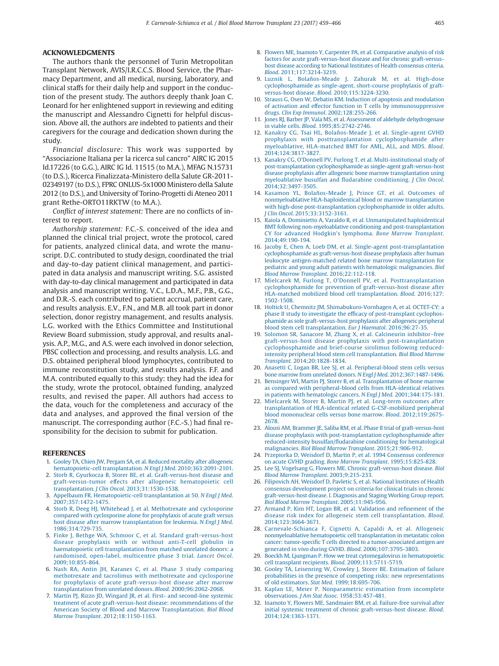## **ACKNOWLEDGMENTS**

The authors thank the personnel of Turin Metropolitan Transplant Network, AVIS/I.R.C.C.S. Blood Service, the Pharmacy Department, and all medical, nursing, laboratory, and clinical staffs for their daily help and support in the conduction of the present study. The authors deeply thank Joan C. Leonard for her enlightened support in reviewing and editing the manuscript and Alessandro Cignetti for helpful discussion. Above all, the authors are indebted to patients and their caregivers for the courage and dedication shown during the study.

*Financial disclosure:* This work was supported by "Associazione Italiana per la ricerca sul cancro" AIRC IG 2015 Id.17226 (to G.G.), AIRC IG Id. 11515 (to M.A.), MFAG N.15731 (to D.S.), Ricerca Finalizzata-Ministero della Salute GR-2011- 02349197 (to D.S.), FPRC ONLUS-5x1000 Ministero della Salute 2012 (to D.S.), and University of Torino-Progetti di Ateneo 2011 grant Rethe-ORTO11RKTW (to M.A.).

*Conflict of interest statement:* There are no conflicts of interest to report.

*Authorship statement:* F.C.-S. conceived of the idea and planned the clinical trial project, wrote the protocol, cared for patients, analyzed clinical data, and wrote the manuscript. D.C. contributed to study design, coordinated the trial and day-to-day patient clinical management, and participated in data analysis and manuscript writing. S.G. assisted with day-to-day clinical management and participated in data analysis and manuscript writing. V.C., L.D.A., M.F., P.B., G.G., and D.R.-S. each contributed to patient accrual, patient care, and results analysis. E.V., F.N., and M.B. all took part in donor selection, donor registry management, and results analysis. L.G. worked with the Ethics Committee and Institutional Review Board submission, study approval, and results analysis. A.P., M.G., and A.S. were each involved in donor selection, PBSC collection and processing, and results analysis. L.G. and D.S. obtained peripheral blood lymphocytes, contributed to immune reconstitution study, and results analysis. F.F. and M.A. contributed equally to this study: they had the idea for the study, wrote the protocol, obtained funding, analyzed results, and revised the paper. All authors had access to the data, vouch for the completeness and accuracy of the data and analyses, and approved the final version of the manuscript. The corresponding author (F.C.-S.) had final responsibility for the decision to submit for publication.

#### <span id="page-6-0"></span>**REFERENCES**

- 1. [Gooley TA, Chien JW, Pergam SA, et al. Reduced mortality after allogeneic](http://refhub.elsevier.com/S1083-8791(16)31214-9/sr0010) [hematopoietic-cell transplantation.](http://refhub.elsevier.com/S1083-8791(16)31214-9/sr0010) *N Engl J Med*. 2010;363:2091-2101.
- 2. [Storb R, Gyurkocza B, Storer BE, et al. Graft-versus-host disease and](http://refhub.elsevier.com/S1083-8791(16)31214-9/sr0015) [graft-versus-tumor effects after allogeneic hematopoietic cell](http://refhub.elsevier.com/S1083-8791(16)31214-9/sr0015) transplantation. *J Clin Oncol*[. 2013;31:1530-1538.](http://refhub.elsevier.com/S1083-8791(16)31214-9/sr0015)
- <span id="page-6-12"></span>3. [Appelbaum FR. Hematopoietic-cell transplantation at 50.](http://refhub.elsevier.com/S1083-8791(16)31214-9/sr0020) *N Engl J Med*. [2007;357:1472-1475.](http://refhub.elsevier.com/S1083-8791(16)31214-9/sr0020)
- <span id="page-6-1"></span>4. [Storb R, Deeg HJ, Whitehead J, et al. Methotrexate and cyclosporine](http://refhub.elsevier.com/S1083-8791(16)31214-9/sr0025) [compared with cyclosporine alone for prophylaxis of acute graft versus](http://refhub.elsevier.com/S1083-8791(16)31214-9/sr0025) [host disease after marrow transplantation for leukemia.](http://refhub.elsevier.com/S1083-8791(16)31214-9/sr0025) *N Engl J Med*. [1986;314:729-735.](http://refhub.elsevier.com/S1083-8791(16)31214-9/sr0025)
- 5. [Finke J, Bethge WA, Schmoor C, et al. Standard graft-versus-host](http://refhub.elsevier.com/S1083-8791(16)31214-9/sr0030) [disease prophylaxis with or without anti-T-cell globulin in](http://refhub.elsevier.com/S1083-8791(16)31214-9/sr0030) [haematopoietic cell transplantation from matched unrelated donors: a](http://refhub.elsevier.com/S1083-8791(16)31214-9/sr0030) [randomised, open-label, multicentre phase 3 trial.](http://refhub.elsevier.com/S1083-8791(16)31214-9/sr0030) *Lancet Oncol*.  $2009:10:855-864$
- 6. [Nash RA, Antin JH, Karanes C, et al. Phase 3 study comparing](http://refhub.elsevier.com/S1083-8791(16)31214-9/sr0035) [methotrexate and tacrolimus with methotrexate and cyclosporine](http://refhub.elsevier.com/S1083-8791(16)31214-9/sr0035) [for prophylaxis of acute graft-versus-host disease after marrow](http://refhub.elsevier.com/S1083-8791(16)31214-9/sr0035) [transplantation from unrelated donors.](http://refhub.elsevier.com/S1083-8791(16)31214-9/sr0035) *Blood*. 2000;96:2062-2068.
- <span id="page-6-16"></span>7. [Martin PJ, Rizzo JD, Wingard JR, et al. First- and second-line systemic](http://refhub.elsevier.com/S1083-8791(16)31214-9/sr0040) [treatment of acute graft-versus-host disease: recommendations of the](http://refhub.elsevier.com/S1083-8791(16)31214-9/sr0040) [American Society of Blood and Marrow Transplantation.](http://refhub.elsevier.com/S1083-8791(16)31214-9/sr0040) *Biol Blood Marrow Transplant*[. 2012;18:1150-1163.](http://refhub.elsevier.com/S1083-8791(16)31214-9/sr0040)
- <span id="page-6-6"></span>8. [Flowers ME, Inamoto Y, Carpenter PA, et al. Comparative analysis of risk](http://refhub.elsevier.com/S1083-8791(16)31214-9/sr0045) [factors for acute graft-versus-host disease and for chronic graft-versus](http://refhub.elsevier.com/S1083-8791(16)31214-9/sr0045)[host disease according to National Institutes of Health consensus criteria.](http://refhub.elsevier.com/S1083-8791(16)31214-9/sr0045) *Blood*[. 2011;117:3214-3219.](http://refhub.elsevier.com/S1083-8791(16)31214-9/sr0045)
- <span id="page-6-2"></span>9. [Luznik L, Bolaños-Meade J, Zahurak M, et al. High-dose](http://refhub.elsevier.com/S1083-8791(16)31214-9/sr0050) [cyclophosphamide as single-agent, short-course prophylaxis of graft](http://refhub.elsevier.com/S1083-8791(16)31214-9/sr0050)versus-host disease. *Blood*[. 2010;115:3224-3230.](http://refhub.elsevier.com/S1083-8791(16)31214-9/sr0050)
- <span id="page-6-3"></span>10. [Strauss G, Osen W, Debatin KM. Induction of apoptosis and modulation](http://refhub.elsevier.com/S1083-8791(16)31214-9/sr0055) [of activation and effector function in T cells by immunosuppressive](http://refhub.elsevier.com/S1083-8791(16)31214-9/sr0055) drugs. *Clin Exp Immunol*[. 2002;128:255-266.](http://refhub.elsevier.com/S1083-8791(16)31214-9/sr0055)
- 11. [Jones RJ, Barber JP, Vala MS, et al. Assessment of aldehyde dehydrogenase](http://refhub.elsevier.com/S1083-8791(16)31214-9/sr0060) in viable cells. *Blood*[. 1995;85:2742-2746.](http://refhub.elsevier.com/S1083-8791(16)31214-9/sr0060)
- <span id="page-6-4"></span>12. [Kanakry CG, Tsai HL, Bolaños-Meade J, et al. Single-agent GVHD](http://refhub.elsevier.com/S1083-8791(16)31214-9/sr0065) [prophylaxis with posttransplantation cyclophosphamide after](http://refhub.elsevier.com/S1083-8791(16)31214-9/sr0065) [myeloablative, HLA-matched BMT for AML, ALL, and MDS.](http://refhub.elsevier.com/S1083-8791(16)31214-9/sr0065) *Blood*. [2014;124:3817-3827.](http://refhub.elsevier.com/S1083-8791(16)31214-9/sr0065)
- 13. [Kanakry CG, O'Donnell PV, Furlong T, et al. Multi-institutional study of](http://refhub.elsevier.com/S1083-8791(16)31214-9/sr0070) [post-transplantation cyclophosphamide as single-agent graft-versus-host](http://refhub.elsevier.com/S1083-8791(16)31214-9/sr0070) [disease prophylaxis after allogeneic bone marrow transplantation using](http://refhub.elsevier.com/S1083-8791(16)31214-9/sr0070) [myeloablative busulfan and fludarabine conditioning.](http://refhub.elsevier.com/S1083-8791(16)31214-9/sr0070) *J Clin Oncol*. [2014;32:3497-3505.](http://refhub.elsevier.com/S1083-8791(16)31214-9/sr0070)
- 14. [Kasamon YL, Bolaños-Meade J, Prince GT, et al. Outcomes of](http://refhub.elsevier.com/S1083-8791(16)31214-9/sr0075) [nonmyeloablative HLA-haploidentical blood or marrow transplantation](http://refhub.elsevier.com/S1083-8791(16)31214-9/sr0075) [with high-dose post-transplantation cyclophosphamide in older adults.](http://refhub.elsevier.com/S1083-8791(16)31214-9/sr0075) *J Clin Oncol*[. 2015;33:3152-3161.](http://refhub.elsevier.com/S1083-8791(16)31214-9/sr0075)
- 15. [Raiola A, Dominietto A, Varaldo R, et al. Unmanipulated haploidentical](http://refhub.elsevier.com/S1083-8791(16)31214-9/sr0080) [BMT following non-myeloablative conditioning and post-transplantation](http://refhub.elsevier.com/S1083-8791(16)31214-9/sr0080) [CY for advanced Hodgkin's lymphoma.](http://refhub.elsevier.com/S1083-8791(16)31214-9/sr0080) *Bone Marrow Transplant*. [2014;49:190-194.](http://refhub.elsevier.com/S1083-8791(16)31214-9/sr0080)
- 16. [Jacoby E, Chen A, Loeb DM, et al. Single-agent post-transplantation](http://refhub.elsevier.com/S1083-8791(16)31214-9/sr0085) [cyclophosphamide as graft-versus-host disease prophylaxis after human](http://refhub.elsevier.com/S1083-8791(16)31214-9/sr0085) [leukocyte antigen-matched related bone marrow transplantation for](http://refhub.elsevier.com/S1083-8791(16)31214-9/sr0085) [pediatric and young adult patients with hematologic malignancies.](http://refhub.elsevier.com/S1083-8791(16)31214-9/sr0085) *Biol [Blood Marrow Transplant](http://refhub.elsevier.com/S1083-8791(16)31214-9/sr0085)*. 2016;22:112-118.
- <span id="page-6-5"></span>17. [Mielcarek M, Furlong T, O'Donnell PV, et al. Posttransplantation](http://refhub.elsevier.com/S1083-8791(16)31214-9/sr0090) [cyclophosphamide for prevention of graft-versus-host disease after](http://refhub.elsevier.com/S1083-8791(16)31214-9/sr0090) [HLA-matched mobilized blood cell transplantation.](http://refhub.elsevier.com/S1083-8791(16)31214-9/sr0090) *Blood*. 2016;127: [1502-1508.](http://refhub.elsevier.com/S1083-8791(16)31214-9/sr0090)
- <span id="page-6-13"></span>18. [Holtick U, Chemnitz JM, Shimabukuro-Vornhagen A, et al. OCTET-CY: a](http://refhub.elsevier.com/S1083-8791(16)31214-9/sr0095) [phase II study to investigate the efficacy of post-transplant cyclophos](http://refhub.elsevier.com/S1083-8791(16)31214-9/sr0095)[phamide as sole graft-versus-host prophylaxis after allogeneic peripheral](http://refhub.elsevier.com/S1083-8791(16)31214-9/sr0095) [blood stem cell transplantation.](http://refhub.elsevier.com/S1083-8791(16)31214-9/sr0095) *Eur J Haematol*. 2016;96:27-35.
- <span id="page-6-14"></span>19. [Solomon SR, Sanacore M, Zhang X, et al. Calcineurin inhibitor–free](http://refhub.elsevier.com/S1083-8791(16)31214-9/sr0100) [graft-versus-host disease prophylaxis with post-transplantation](http://refhub.elsevier.com/S1083-8791(16)31214-9/sr0100) [cyclophosphamide and brief-course sirolimus following reduced](http://refhub.elsevier.com/S1083-8791(16)31214-9/sr0100)[intensity peripheral blood stem cell transplantation.](http://refhub.elsevier.com/S1083-8791(16)31214-9/sr0100) *Biol Blood Marrow Transplant*[. 2014;20:1828-1834.](http://refhub.elsevier.com/S1083-8791(16)31214-9/sr0100)
- <span id="page-6-15"></span>20. [Anasetti C, Logan BR, Lee SJ, et al. Peripheral-blood stem cells versus](http://refhub.elsevier.com/S1083-8791(16)31214-9/sr0105) [bone marrow from unrelated donors.](http://refhub.elsevier.com/S1083-8791(16)31214-9/sr0105) *N Engl J Med*. 2012;367:1487-1496.
- 21. [Bensinger WI, Martin PJ, Storer B, et al. Transplantation of bone marrow](http://refhub.elsevier.com/S1083-8791(16)31214-9/sr0110) [as compared with peripheral-blood cells from HLA-identical relatives](http://refhub.elsevier.com/S1083-8791(16)31214-9/sr0110) [in patients with hematologic cancers.](http://refhub.elsevier.com/S1083-8791(16)31214-9/sr0110) *N Engl J Med*. 2001;344:175-181.
- 22. [Mielcarek M, Storer B, Martin PJ, et al. Long-term outcomes after](http://refhub.elsevier.com/S1083-8791(16)31214-9/sr0115) [transplantation of HLA-identical related G-CSF-mobilized peripheral](http://refhub.elsevier.com/S1083-8791(16)31214-9/sr0115) [blood mononuclear cells versus bone marrow.](http://refhub.elsevier.com/S1083-8791(16)31214-9/sr0115) *Blood*. 2012;119:2675- [2678.](http://refhub.elsevier.com/S1083-8791(16)31214-9/sr0115)
- 23. [Alousi AM, Brammer JE, Saliba RM, et al. Phase II trial of graft-versus-host](http://refhub.elsevier.com/S1083-8791(16)31214-9/sr0120) [disease prophylaxis with post-transplantation cyclophosphamide after](http://refhub.elsevier.com/S1083-8791(16)31214-9/sr0120) [reduced-intensity busulfan/fludarabine conditioning for hematological](http://refhub.elsevier.com/S1083-8791(16)31214-9/sr0120) malignancies. *[Biol Blood Marrow Transplant](http://refhub.elsevier.com/S1083-8791(16)31214-9/sr0120)*. 2015;21:906-912.
- <span id="page-6-7"></span>24. [Przepiorka D, Weisdorf D, Martin P, et al. 1994 Consensus conference](http://refhub.elsevier.com/S1083-8791(16)31214-9/sr0125) [on acute GVHD grading.](http://refhub.elsevier.com/S1083-8791(16)31214-9/sr0125) *Bone Marrow Transplant*. 1995;15:825-828.
- 25. [Lee SJ, Vogelsang G, Flowers ME. Chronic graft-versus-host disease.](http://refhub.elsevier.com/S1083-8791(16)31214-9/sr0130) *Biol [Blood Marrow Transplant](http://refhub.elsevier.com/S1083-8791(16)31214-9/sr0130)*. 2003;9:215-233.
- 26. [Filipovich AH, Weisdorf D, Pavletic S, et al. National Institutes of Health](http://refhub.elsevier.com/S1083-8791(16)31214-9/sr0135) [consensus development project on criteria for clinical trials in chronic](http://refhub.elsevier.com/S1083-8791(16)31214-9/sr0135) [graft-versus-host disease. I. Diagnosis and Staging Working Group report.](http://refhub.elsevier.com/S1083-8791(16)31214-9/sr0135) *[Biol Blood Marrow Transplant](http://refhub.elsevier.com/S1083-8791(16)31214-9/sr0135)*. 2005;11:945-956.
- <span id="page-6-8"></span>27. [Armand P, Kim HT, Logan BR, et al. Validation and refinement of the](http://refhub.elsevier.com/S1083-8791(16)31214-9/sr0140) [disease risk index for allogeneic stem cell transplantation.](http://refhub.elsevier.com/S1083-8791(16)31214-9/sr0140) *Blood*. [2014;123:3664-3671.](http://refhub.elsevier.com/S1083-8791(16)31214-9/sr0140)
- <span id="page-6-9"></span>28. [Carnevale-Schianca F, Cignetti A, Capaldi A, et al. Allogeneic](http://refhub.elsevier.com/S1083-8791(16)31214-9/sr0145) [nonmyeloablative hematopoietic cell transplantation in metastatic colon](http://refhub.elsevier.com/S1083-8791(16)31214-9/sr0145) [cancer: tumor-specific T cells directed to a tumor-associated antigen are](http://refhub.elsevier.com/S1083-8791(16)31214-9/sr0145) [generated in vivo during GVHD.](http://refhub.elsevier.com/S1083-8791(16)31214-9/sr0145) *Blood*. 2006;107:3795-3803.
- <span id="page-6-10"></span>29. [Boeckh M, Ljungman P. How we treat cytomegalovirus in hematopoietic](http://refhub.elsevier.com/S1083-8791(16)31214-9/sr0150) [cell transplant recipients.](http://refhub.elsevier.com/S1083-8791(16)31214-9/sr0150) *Blood*. 2009;113:5711-5719.
- <span id="page-6-11"></span>30. [Gooley TA, Leisenring W, Crowley J, Storer BE. Estimation of failure](http://refhub.elsevier.com/S1083-8791(16)31214-9/sr0155) [probabilities in the presence of competing risks: new representations](http://refhub.elsevier.com/S1083-8791(16)31214-9/sr0155) of old estimators. *Stat Med*[. 1999;18:695-706.](http://refhub.elsevier.com/S1083-8791(16)31214-9/sr0155)
- 31. [Kaplan LE, Meier P. Nonparametric estimation from incomplete](http://refhub.elsevier.com/S1083-8791(16)31214-9/sr0160) observations. *J Am Stat Assoc*[. 1958;53:457-481.](http://refhub.elsevier.com/S1083-8791(16)31214-9/sr0160)
- 32. [Inamoto Y, Flowers ME, Sandmaier BM, et al. Failure-free survival after](http://refhub.elsevier.com/S1083-8791(16)31214-9/sr0165) [initial systemic treatment of chronic graft-versus-host disease.](http://refhub.elsevier.com/S1083-8791(16)31214-9/sr0165) *Blood*. [2014;124:1363-1371.](http://refhub.elsevier.com/S1083-8791(16)31214-9/sr0165)